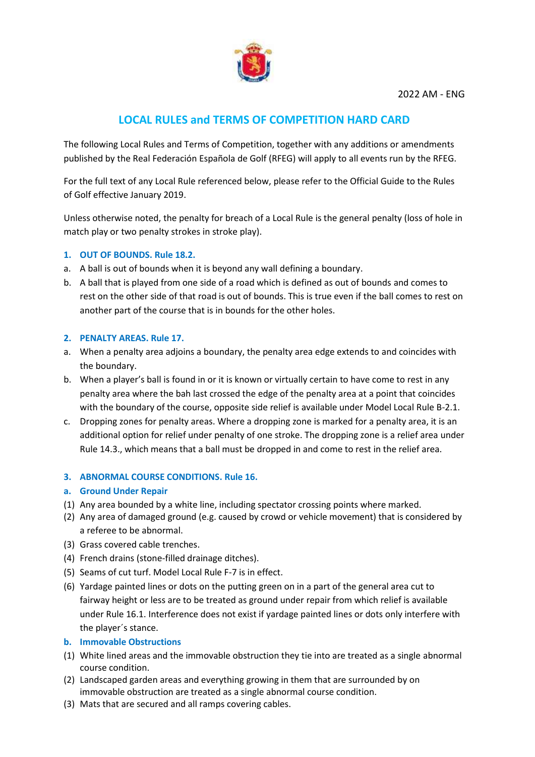

# **LOCAL RULES and TERMS OF COMPETITION HARD CARD**

The following Local Rules and Terms of Competition, together with any additions or amendments published by the Real Federación Española de Golf (RFEG) will apply to all events run by the RFEG.

For the full text of any Local Rule referenced below, please refer to the Official Guide to the Rules of Golf effective January 2019.

Unless otherwise noted, the penalty for breach of a Local Rule is the general penalty (loss of hole in match play or two penalty strokes in stroke play).

## **1. OUT OF BOUNDS. Rule 18.2.**

- a. A ball is out of bounds when it is beyond any wall defining a boundary.
- b. A ball that is played from one side of a road which is defined as out of bounds and comes to rest on the other side of that road is out of bounds. This is true even if the ball comes to rest on another part of the course that is in bounds for the other holes.

## **2. PENALTY AREAS. Rule 17.**

- a. When a penalty area adjoins a boundary, the penalty area edge extends to and coincides with the boundary.
- b. When a player's ball is found in or it is known or virtually certain to have come to rest in any penalty area where the bah last crossed the edge of the penalty area at a point that coincides with the boundary of the course, opposite side relief is available under Model Local Rule B-2.1.
- c. Dropping zones for penalty areas. Where a dropping zone is marked for a penalty area, it is an additional option for relief under penalty of one stroke. The dropping zone is a relief area under Rule 14.3., which means that a ball must be dropped in and come to rest in the relief area.

## **3. ABNORMAL COURSE CONDITIONS. Rule 16.**

## **a. Ground Under Repair**

- (1) Any area bounded by a white line, including spectator crossing points where marked.
- (2) Any area of damaged ground (e.g. caused by crowd or vehicle movement) that is considered by a referee to be abnormal.
- (3) Grass covered cable trenches.
- (4) French drains (stone-filled drainage ditches).
- (5) Seams of cut turf. Model Local Rule F-7 is in effect.
- (6) Yardage painted lines or dots on the putting green on in a part of the general area cut to fairway height or less are to be treated as ground under repair from which relief is available under Rule 16.1. Interference does not exist if yardage painted lines or dots only interfere with the player´s stance.

## **b. Immovable Obstructions**

- (1) White lined areas and the immovable obstruction they tie into are treated as a single abnormal course condition.
- (2) Landscaped garden areas and everything growing in them that are surrounded by on immovable obstruction are treated as a single abnormal course condition.
- (3) Mats that are secured and all ramps covering cables.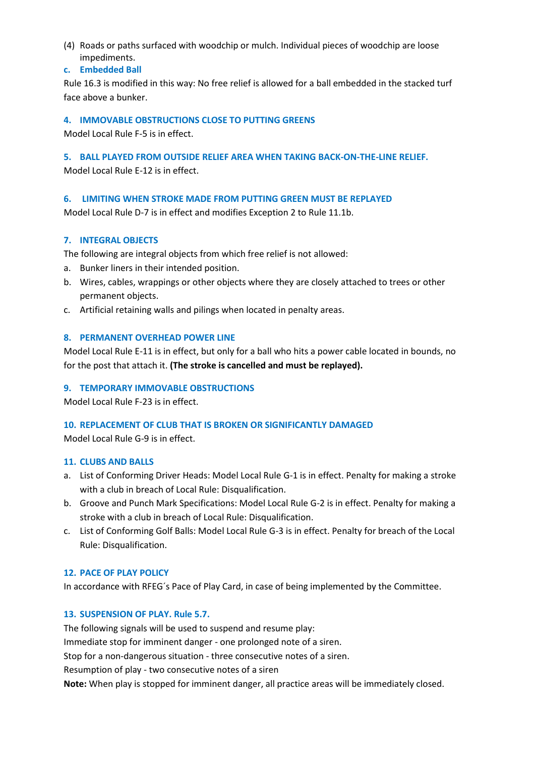- (4) Roads or paths surfaced with woodchip or mulch. Individual pieces of woodchip are loose impediments.
- **c. Embedded Ball**

Rule 16.3 is modified in this way: No free relief is allowed for a ball embedded in the stacked turf face above a bunker.

## **4. IMMOVABLE OBSTRUCTIONS CLOSE TO PUTTING GREENS**

Model Local Rule F-5 is in effect.

## **5. BALL PLAYED FROM OUTSIDE RELIEF AREA WHEN TAKING BACK-ON-THE-LINE RELIEF.**

Model Local Rule E-12 is in effect.

## **6. LIMITING WHEN STROKE MADE FROM PUTTING GREEN MUST BE REPLAYED**

Model Local Rule D-7 is in effect and modifies Exception 2 to Rule 11.1b.

## **7. INTEGRAL OBJECTS**

The following are integral objects from which free relief is not allowed:

- a. Bunker liners in their intended position.
- b. Wires, cables, wrappings or other objects where they are closely attached to trees or other permanent objects.
- c. Artificial retaining walls and pilings when located in penalty areas.

## **8. PERMANENT OVERHEAD POWER LINE**

Model Local Rule E-11 is in effect, but only for a ball who hits a power cable located in bounds, no for the post that attach it. **(The stroke is cancelled and must be replayed).**

# **9. TEMPORARY IMMOVABLE OBSTRUCTIONS**

Model Local Rule F-23 is in effect.

## **10. REPLACEMENT OF CLUB THAT IS BROKEN OR SIGNIFICANTLY DAMAGED**

Model Local Rule G-9 is in effect.

## **11. CLUBS AND BALLS**

- a. List of Conforming Driver Heads: Model Local Rule G-1 is in effect. Penalty for making a stroke with a club in breach of Local Rule: Disqualification.
- b. Groove and Punch Mark Specifications: Model Local Rule G-2 is in effect. Penalty for making a stroke with a club in breach of Local Rule: Disqualification.
- c. List of Conforming Golf Balls: Model Local Rule G-3 is in effect. Penalty for breach of the Local Rule: Disqualification.

# **12. PACE OF PLAY POLICY**

In accordance with RFEG´s Pace of Play Card, in case of being implemented by the Committee.

# **13. SUSPENSION OF PLAY. Rule 5.7.**

The following signals will be used to suspend and resume play:

Immediate stop for imminent danger - one prolonged note of a siren.

Stop for a non-dangerous situation - three consecutive notes of a siren.

Resumption of play - two consecutive notes of a siren

**Note:** When play is stopped for imminent danger, all practice areas will be immediately closed.